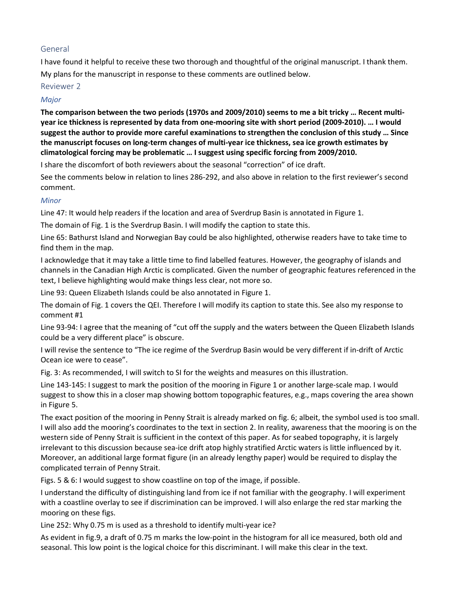## General

I have found it helpful to receive these two thorough and thoughtful of the original manuscript. I thank them. My plans for the manuscript in response to these comments are outlined below.

## Reviewer 2

## Major

The comparison between the two periods (1970s and 2009/2010) seems to me a bit tricky … Recent multiyear ice thickness is represented by data from one-mooring site with short period (2009-2010). … I would suggest the author to provide more careful examinations to strengthen the conclusion of this study … Since the manuscript focuses on long-term changes of multi-year ice thickness, sea ice growth estimates by climatological forcing may be problematic … I suggest using specific forcing from 2009/2010.

I share the discomfort of both reviewers about the seasonal "correction" of ice draft.

See the comments below in relation to lines 286-292, and also above in relation to the first reviewer's second comment.

## **Minor**

Line 47: It would help readers if the location and area of Sverdrup Basin is annotated in Figure 1.

The domain of Fig. 1 is the Sverdrup Basin. I will modify the caption to state this.

Line 65: Bathurst Island and Norwegian Bay could be also highlighted, otherwise readers have to take time to find them in the map.

I acknowledge that it may take a little time to find labelled features. However, the geography of islands and channels in the Canadian High Arctic is complicated. Given the number of geographic features referenced in the text, I believe highlighting would make things less clear, not more so.

Line 93: Queen Elizabeth Islands could be also annotated in Figure 1.

The domain of Fig. 1 covers the QEI. Therefore I will modify its caption to state this. See also my response to comment #1

Line 93-94: I agree that the meaning of "cut off the supply and the waters between the Queen Elizabeth Islands could be a very different place" is obscure.

I will revise the sentence to "The ice regime of the Sverdrup Basin would be very different if in-drift of Arctic Ocean ice were to cease".

Fig. 3: As recommended, I will switch to SI for the weights and measures on this illustration.

Line 143-145: I suggest to mark the position of the mooring in Figure 1 or another large-scale map. I would suggest to show this in a closer map showing bottom topographic features, e.g., maps covering the area shown in Figure 5.

The exact position of the mooring in Penny Strait is already marked on fig. 6; albeit, the symbol used is too small. I will also add the mooring's coordinates to the text in section 2. In reality, awareness that the mooring is on the western side of Penny Strait is sufficient in the context of this paper. As for seabed topography, it is largely irrelevant to this discussion because sea-ice drift atop highly stratified Arctic waters is little influenced by it. Moreover, an additional large format figure (in an already lengthy paper) would be required to display the complicated terrain of Penny Strait.

Figs. 5 & 6: I would suggest to show coastline on top of the image, if possible.

I understand the difficulty of distinguishing land from ice if not familiar with the geography. I will experiment with a coastline overlay to see if discrimination can be improved. I will also enlarge the red star marking the mooring on these figs.

Line 252: Why 0.75 m is used as a threshold to identify multi-year ice?

As evident in fig.9, a draft of 0.75 m marks the low-point in the histogram for all ice measured, both old and seasonal. This low point is the logical choice for this discriminant. I will make this clear in the text.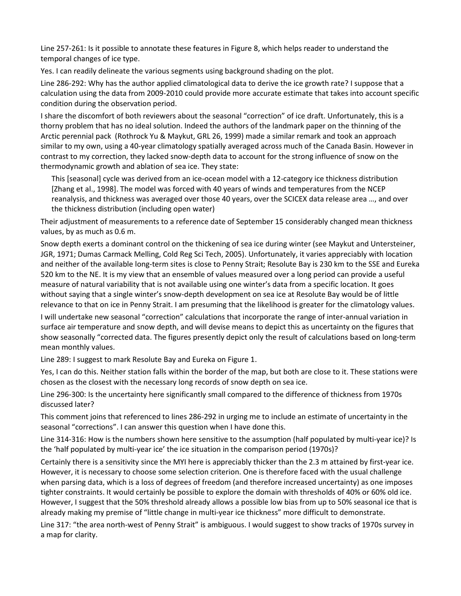Line 257-261: Is it possible to annotate these features in Figure 8, which helps reader to understand the temporal changes of ice type.

Yes. I can readily delineate the various segments using background shading on the plot.

Line 286-292: Why has the author applied climatological data to derive the ice growth rate? I suppose that a calculation using the data from 2009-2010 could provide more accurate estimate that takes into account specific condition during the observation period.

I share the discomfort of both reviewers about the seasonal "correction" of ice draft. Unfortunately, this is a thorny problem that has no ideal solution. Indeed the authors of the landmark paper on the thinning of the Arctic perennial pack (Rothrock Yu & Maykut, GRL 26, 1999) made a similar remark and took an approach similar to my own, using a 40-year climatology spatially averaged across much of the Canada Basin. However in contrast to my correction, they lacked snow-depth data to account for the strong influence of snow on the thermodynamic growth and ablation of sea ice. They state:

This [seasonal] cycle was derived from an ice-ocean model with a 12-category ice thickness distribution [Zhang et al., 1998]. The model was forced with 40 years of winds and temperatures from the NCEP reanalysis, and thickness was averaged over those 40 years, over the SCICEX data release area …, and over the thickness distribution (including open water)

Their adjustment of measurements to a reference date of September 15 considerably changed mean thickness values, by as much as 0.6 m.

Snow depth exerts a dominant control on the thickening of sea ice during winter (see Maykut and Untersteiner, JGR, 1971; Dumas Carmack Melling, Cold Reg Sci Tech, 2005). Unfortunately, it varies appreciably with location and neither of the available long-term sites is close to Penny Strait; Resolute Bay is 230 km to the SSE and Eureka 520 km to the NE. It is my view that an ensemble of values measured over a long period can provide a useful measure of natural variability that is not available using one winter's data from a specific location. It goes without saying that a single winter's snow-depth development on sea ice at Resolute Bay would be of little relevance to that on ice in Penny Strait. I am presuming that the likelihood is greater for the climatology values.

I will undertake new seasonal "correction" calculations that incorporate the range of inter-annual variation in surface air temperature and snow depth, and will devise means to depict this as uncertainty on the figures that show seasonally "corrected data. The figures presently depict only the result of calculations based on long-term mean monthly values.

Line 289: I suggest to mark Resolute Bay and Eureka on Figure 1.

Yes, I can do this. Neither station falls within the border of the map, but both are close to it. These stations were chosen as the closest with the necessary long records of snow depth on sea ice.

Line 296-300: Is the uncertainty here significantly small compared to the difference of thickness from 1970s discussed later?

This comment joins that referenced to lines 286-292 in urging me to include an estimate of uncertainty in the seasonal "corrections". I can answer this question when I have done this.

Line 314-316: How is the numbers shown here sensitive to the assumption (half populated by multi-year ice)? Is the 'half populated by multi-year ice' the ice situation in the comparison period (1970s)?

Certainly there is a sensitivity since the MYI here is appreciably thicker than the 2.3 m attained by first-year ice. However, it is necessary to choose some selection criterion. One is therefore faced with the usual challenge when parsing data, which is a loss of degrees of freedom (and therefore increased uncertainty) as one imposes tighter constraints. It would certainly be possible to explore the domain with thresholds of 40% or 60% old ice. However, I suggest that the 50% threshold already allows a possible low bias from up to 50% seasonal ice that is already making my premise of "little change in multi-year ice thickness" more difficult to demonstrate.

Line 317: "the area north-west of Penny Strait" is ambiguous. I would suggest to show tracks of 1970s survey in a map for clarity.